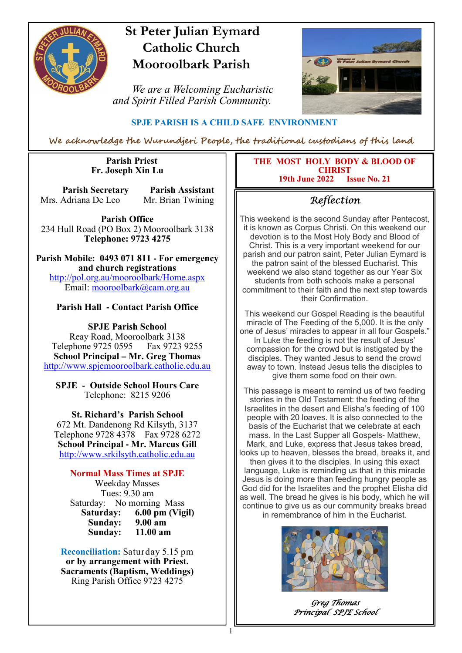

# **St Peter Julian Eymard Catholic Church Mooroolbark Parish**

 *We are a Welcoming Eucharistic and Spirit Filled Parish Community.*



## **SPJE PARISH IS A CHILD SAFE ENVIRONMENT**

We acknowledge the Wurundjeri People, the traditional custodians of this land

1

#### **Parish Priest Fr. Joseph Xin Lu**

**Parish Secretary Parish Assistant** Mrs. Adriana De Leo Mr. Brian Twining

**Parish Office** 234 Hull Road (PO Box 2) Mooroolbark 3138 **Telephone: 9723 4275** 

**Parish Mobile: 0493 071 811 - For emergency and church registrations** http://pol.org.au/mooroolbark/Home.aspx Email: mooroolbark@cam.org.au

### **Parish Hall - Contact Parish Office**

**SPJE Parish School** Reay Road, Mooroolbark 3138 Telephone 9725 0595 Fax 9723 9255 **School Principal – Mr. Greg Thomas** http://www.spjemooroolbark.catholic.edu.au

**SPJE - Outside School Hours Care** Telephone: 8215 9206

**St. Richard's Parish School** 672 Mt. Dandenong Rd Kilsyth, 3137 Telephone 9728 4378 Fax 9728 6272 **School Principal - Mr. Marcus Gill** http://www.srkilsyth.catholic.edu.au

**Normal Mass Times at SPJE**  Weekday Masses Tues: 9.30 am Saturday: No morning Mass<br>Saturday: 6.00 pm (Vig **6.00 pm (Vigil)**<br>9.00 am **Sunday: 9.00 am** Sunday:

**Reconciliation:** Saturday 5.15 pm **or by arrangement with Priest. Sacraments (Baptism, Weddings)**  Ring Parish Office 9723 4275

**THE MOST HOLY BODY & BLOOD OF CHRIST**<br>2022 **Issue No. 21 19th June 2022** 

## Reflection

This weekend is the second Sunday after Pentecost, it is known as Corpus Christi. On this weekend our devotion is to the Most Holy Body and Blood of Christ. This is a very important weekend for our parish and our patron saint, Peter Julian Eymard is the patron saint of the blessed Eucharist. This weekend we also stand together as our Year Six students from both schools make a personal commitment to their faith and the next step towards their Confirmation.

This weekend our Gospel Reading is the beautiful miracle of The Feeding of the 5,000. It is the only one of Jesus' miracles to appear in all four Gospels." In Luke the feeding is not the result of Jesus' compassion for the crowd but is instigated by the disciples. They wanted Jesus to send the crowd away to town. Instead Jesus tells the disciples to give them some food on their own.

This passage is meant to remind us of two feeding stories in the Old Testament: the feeding of the Israelites in the desert and Elisha's feeding of 100 people with 20 loaves. It is also connected to the basis of the Eucharist that we celebrate at each mass. In the Last Supper all Gospels- Matthew, Mark, and Luke, express that Jesus takes bread, looks up to heaven, blesses the bread, breaks it, and then gives it to the disciples. In using this exact language, Luke is reminding us that in this miracle Jesus is doing more than feeding hungry people as God did for the Israelites and the prophet Elisha did as well. The bread he gives is his body, which he will continue to give us as our community breaks bread in remembrance of him in the Eucharist.



Greg Thomas Principal SPJE School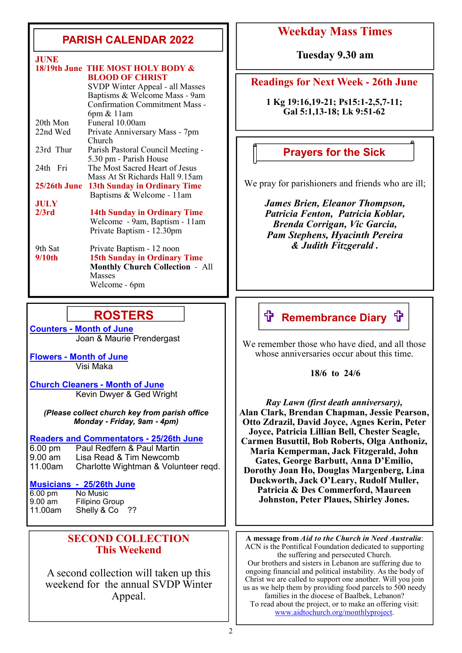# **PARISH CALENDAR 2022**

| .            |                                          |
|--------------|------------------------------------------|
|              | 18/19th June THE MOST HOLY BODY &        |
|              | <b>BLOOD OF CHRIST</b>                   |
|              | SVDP Winter Appeal - all Masses          |
|              | Baptisms & Welcome Mass - 9am            |
|              | <b>Confirmation Commitment Mass -</b>    |
|              | $6pm \& 11am$                            |
| 20th Mon     | Funeral 10.00am                          |
| 22nd Wed     | Private Anniversary Mass - 7pm<br>Church |
| 23rd Thur    | Parish Pastoral Council Meeting -        |
|              | 5.30 pm - Parish House                   |
| 24th Fri     | The Most Sacred Heart of Jesus           |
|              | Mass At St Richards Hall 9.15am          |
| 25/26th June | <b>13th Sunday in Ordinary Time</b>      |
|              | Baptisms & Welcome - 11am                |
| <b>JULY</b>  |                                          |
| 2/3rd        | <b>14th Sunday in Ordinary Time</b>      |
|              | Welcome - 9am, Baptism - 11am            |
|              | Private Baptism - 12.30pm                |
| 9th Sat      | Private Baptism - 12 noon                |
| 9/10th       | <b>15th Sunday in Ordinary Time</b>      |
|              | <b>Monthly Church Collection - All</b>   |
|              | <b>Masses</b>                            |
|              | Welcome - 6pm                            |

## **ROSTERS**

**Counters - Month of June**  Joan & Maurie Prendergast

**Flowers - Month of June**  Visi Maka

**Church Cleaners - Month of June** Kevin Dwyer & Ged Wright

*(Please collect church key from parish office Monday* **-** *Friday, 9am* **-** *4pm)*

# **Readers and Commentators - 25/26th June**

6.00 pm Paul Redfern & Paul Martin<br>9.00 am Lisa Read & Tim Newcomb 9.00 am Lisa Read & Tim Newcomb<br>11.00am Charlotte Wightman & Volui Charlotte Wightman & Volunteer reqd.

#### **Musicians - 25/26th June**

| 6.00 pm | No Music              |    |
|---------|-----------------------|----|
| 9.00 am | <b>Filipino Group</b> |    |
| 11.00am | Shelly & Co           | ?? |

### **SECOND COLLECTION This Weekend**

A second collection will taken up this weekend for the annual SVDP Winter Appeal.

# **Weekday Mass Times**

**JUNE Tuesday 9.30 am**

#### **Readings for Next Week - 26th June**

**1 Kg 19:16,19-21; Ps15:1-2,5,7-11; Gal 5:1,13-18; Lk 9:51-62**

## **Prayers for the Sick**

We pray for parishioners and friends who are ill;

*James Brien, Eleanor Thompson, Patricia Fenton, Patricia Koblar, Brenda Corrigan, Vic Garcia, Pam Stephens, Hyacinth Pereira & Judith Fitzgerald .*

# **ft Remembrance Diary ft**

We remember those who have died, and all those whose anniversaries occur about this time.

 **18/6 to 24/6**

*Ray Lawn (first death anniversary),*  **Alan Clark, Brendan Chapman, Jessie Pearson, Otto Zdrazil, David Joyce, Agnes Kerin, Peter Joyce, Patricia Lillian Bell, Chester Seagle, Carmen Busuttil, Bob Roberts, Olga Anthoniz, Maria Kemperman, Jack Fitzgerald, John Gates, George Barbutt, Anna D'Emilio, Dorothy Joan Ho, Douglas Margenberg, Lina Duckworth, Jack O'Leary, Rudolf Muller, Patricia & Des Commerford, Maureen Johnston, Peter Plaues, Shirley Jones.**

**A message from** *Aid to the Church in Need Australia*: ACN is the Pontifical Foundation dedicated to supporting the suffering and persecuted Church. Our brothers and sisters in Lebanon are suffering due to ongoing financial and political instability. As the body of Christ we are called to support one another. Will you join us as we help them by providing food parcels to 500 needy families in the diocese of Baalbek, Lebanon? To read about the project, or to make an offering visit: www.aidtochurch.org/monthlyproject.